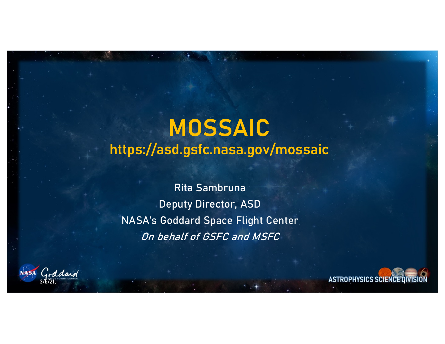### **MOSSAIC https://asd.gsfc.nasa.gov/mossaic**

Rita Sambruna Deputy Director, ASD NASA's Goddard Space Flight Center On behalf of GSFC and MSFC

ddaid

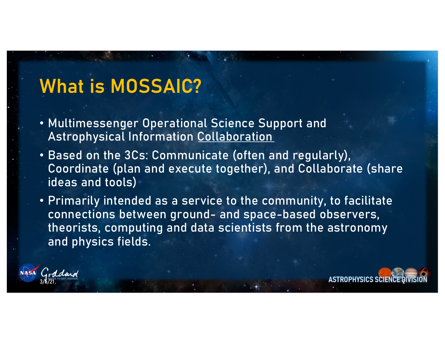### **What is MOSSAIC?**

- Multimessenger Operational Science Support and Astrophysical Information Collaboration
- Based on the 3Cs: Communicate (often and regularly), Coordinate (plan and execute together), and Collaborate (share ideas and tools)
- Primarily intended as a service to the community, to facilitate connections between ground- and space-based observers, theorists, computing and data scientists from the astronomy and physics fields.



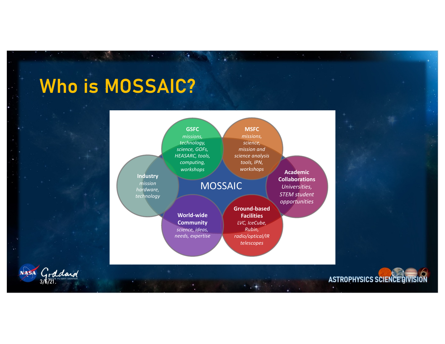## **Who is MOSSAIC?**

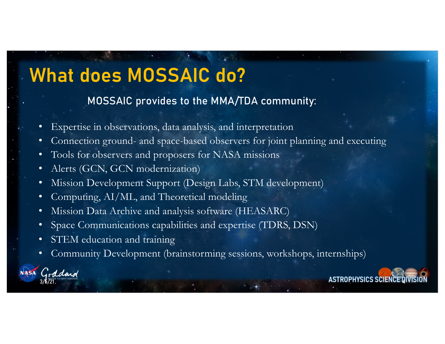### **What does MOSSAIC do?**

#### • MOSSAIC provides to the MMA/TDA community:

- Expertise in observations, data analysis, and interpretation
- Connection ground- and space-based observers for joint planning and executing
- Tools for observers and proposers for NASA missions
- Alerts (GCN, GCN modernization)
- Mission Development Support (Design Labs, STM development)
- Computing, AI/ML, and Theoretical modeling
- Mission Data Archive and analysis software (HEASARC)
- Space Communications capabilities and expertise (TDRS, DSN)
- STEM education and training
- Community Development (brainstorming sessions, workshops, internships)



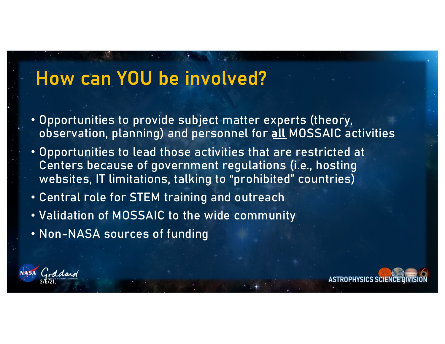### **How can YOU be involved?**

- Opportunities to provide subject matter experts (theory, observation, planning) and personnel for **all** MOSSAIC activities
- Opportunities to lead those activities that are restricted at Centers because of government regulations (i.e., hosting websites, IT limitations, talking to "prohibited" countries)
- Central role for STEM training and outreach
- Validation of MOSSAIC to the wide community
- Non-NASA sources of funding